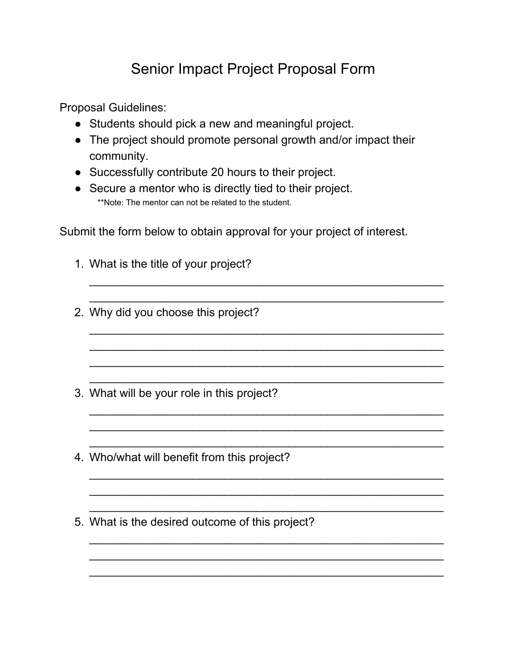## Senior Impact Project Proposal Form

Proposal Guidelines:

- Students should pick a new and meaningful project.
- The project should promote personal growth and/or impact their community.
- Successfully contribute 20 hours to their project.
- Secure a mentor who is directly tied to their project. \*\*Note: The mentor can not be related to the student.

Submit the form below to obtain approval for your project of interest.

\_\_\_\_\_\_\_\_\_\_\_\_\_\_\_\_\_\_\_\_\_\_\_\_\_\_\_\_\_\_\_\_\_\_\_\_\_\_\_\_\_\_\_\_\_\_\_\_\_\_\_\_\_\_\_ \_\_\_\_\_\_\_\_\_\_\_\_\_\_\_\_\_\_\_\_\_\_\_\_\_\_\_\_\_\_\_\_\_\_\_\_\_\_\_\_\_\_\_\_\_\_\_\_\_\_\_\_\_\_\_

\_\_\_\_\_\_\_\_\_\_\_\_\_\_\_\_\_\_\_\_\_\_\_\_\_\_\_\_\_\_\_\_\_\_\_\_\_\_\_\_\_\_\_\_\_\_\_\_\_\_\_\_\_\_\_ \_\_\_\_\_\_\_\_\_\_\_\_\_\_\_\_\_\_\_\_\_\_\_\_\_\_\_\_\_\_\_\_\_\_\_\_\_\_\_\_\_\_\_\_\_\_\_\_\_\_\_\_\_\_\_ \_\_\_\_\_\_\_\_\_\_\_\_\_\_\_\_\_\_\_\_\_\_\_\_\_\_\_\_\_\_\_\_\_\_\_\_\_\_\_\_\_\_\_\_\_\_\_\_\_\_\_\_\_\_\_ \_\_\_\_\_\_\_\_\_\_\_\_\_\_\_\_\_\_\_\_\_\_\_\_\_\_\_\_\_\_\_\_\_\_\_\_\_\_\_\_\_\_\_\_\_\_\_\_\_\_\_\_\_\_\_

\_\_\_\_\_\_\_\_\_\_\_\_\_\_\_\_\_\_\_\_\_\_\_\_\_\_\_\_\_\_\_\_\_\_\_\_\_\_\_\_\_\_\_\_\_\_\_\_\_\_\_\_\_\_\_

\_\_\_\_\_\_\_\_\_\_\_\_\_\_\_\_\_\_\_\_\_\_\_\_\_\_\_\_\_\_\_\_\_\_\_\_\_\_\_\_\_\_\_\_\_\_\_\_\_\_\_\_\_\_\_

\_\_\_\_\_\_\_\_\_\_\_\_\_\_\_\_\_\_\_\_\_\_\_\_\_\_\_\_\_\_\_\_\_\_\_\_\_\_\_\_\_\_\_\_\_\_\_\_\_\_\_\_\_\_\_ \_\_\_\_\_\_\_\_\_\_\_\_\_\_\_\_\_\_\_\_\_\_\_\_\_\_\_\_\_\_\_\_\_\_\_\_\_\_\_\_\_\_\_\_\_\_\_\_\_\_\_\_\_\_\_ \_\_\_\_\_\_\_\_\_\_\_\_\_\_\_\_\_\_\_\_\_\_\_\_\_\_\_\_\_\_\_\_\_\_\_\_\_\_\_\_\_\_\_\_\_\_\_\_\_\_\_\_\_\_\_

\_\_\_\_\_\_\_\_\_\_\_\_\_\_\_\_\_\_\_\_\_\_\_\_\_\_\_\_\_\_\_\_\_\_\_\_\_\_\_\_\_\_\_\_\_\_\_\_\_\_\_\_\_\_\_ \_\_\_\_\_\_\_\_\_\_\_\_\_\_\_\_\_\_\_\_\_\_\_\_\_\_\_\_\_\_\_\_\_\_\_\_\_\_\_\_\_\_\_\_\_\_\_\_\_\_\_\_\_\_\_ \_\_\_\_\_\_\_\_\_\_\_\_\_\_\_\_\_\_\_\_\_\_\_\_\_\_\_\_\_\_\_\_\_\_\_\_\_\_\_\_\_\_\_\_\_\_\_\_\_\_\_\_\_\_\_

- 1. What is the title of your project?
- 2. Why did you choose this project?

- 3. What will be your role in this project?
- 4. Who/what will benefit from this project?

\_\_\_\_\_\_\_\_\_\_\_\_\_\_\_\_\_\_\_\_\_\_\_\_\_\_\_\_\_\_\_\_\_\_\_\_\_\_\_\_\_\_\_\_\_\_\_\_\_\_\_\_\_\_\_

5. What is the desired outcome of this project?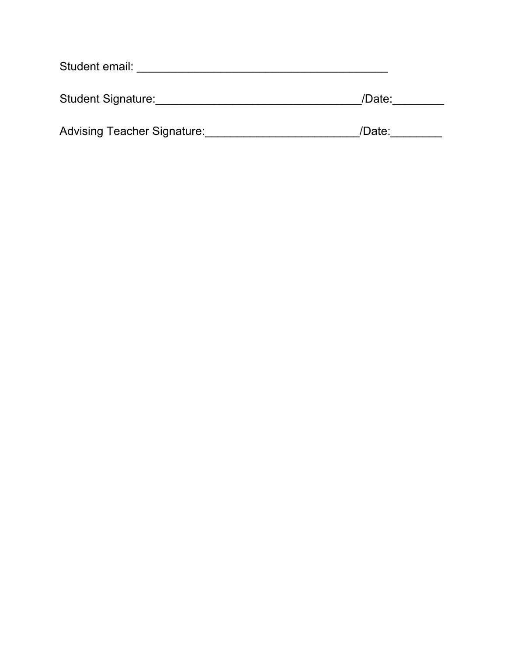| Student email:                     |        |  |
|------------------------------------|--------|--|
| <b>Student Signature:</b>          | /Date: |  |
| <b>Advising Teacher Signature:</b> | /Date: |  |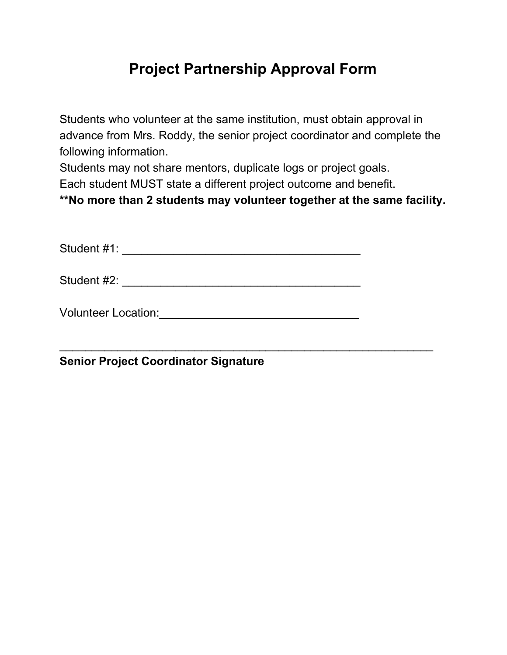### **Project Partnership Approval Form**

Students who volunteer at the same institution, must obtain approval in advance from Mrs. Roddy, the senior project coordinator and complete the following information.

Students may not share mentors, duplicate logs or project goals.

Each student MUST state a different project outcome and benefit.

**\*\*No more than 2 students may volunteer together at the same facility.**

\_\_\_\_\_\_\_\_\_\_\_\_\_\_\_\_\_\_\_\_\_\_\_\_\_\_\_\_\_\_\_\_\_\_\_\_\_\_\_\_\_\_\_\_\_\_\_\_\_\_\_\_\_\_\_\_\_\_

Student #1: \_\_\_\_\_\_\_\_\_\_\_\_\_\_\_\_\_\_\_\_\_\_\_\_\_\_\_\_\_\_\_\_\_\_\_\_\_

Student #2: \_\_\_\_\_\_\_\_\_\_\_\_\_\_\_\_\_\_\_\_\_\_\_\_\_\_\_\_\_\_\_\_\_\_\_\_\_

Volunteer Location:\_\_\_\_\_\_\_\_\_\_\_\_\_\_\_\_\_\_\_\_\_\_\_\_\_\_\_\_\_\_\_

**Senior Project Coordinator Signature**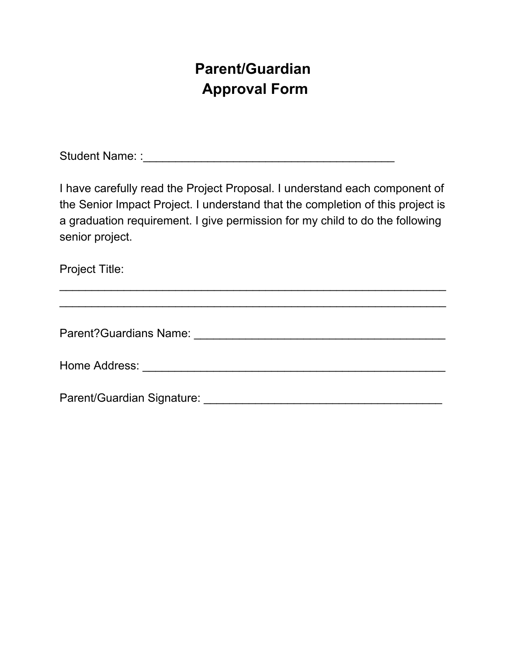## **Parent/Guardian Approval Form**

Student Name: :\_\_\_\_\_\_\_\_\_\_\_\_\_\_\_\_\_\_\_\_\_\_\_\_\_\_\_\_\_\_\_\_\_\_\_\_\_\_\_

I have carefully read the Project Proposal. I understand each component of the Senior Impact Project. I understand that the completion of this project is a graduation requirement. I give permission for my child to do the following senior project.

\_\_\_\_\_\_\_\_\_\_\_\_\_\_\_\_\_\_\_\_\_\_\_\_\_\_\_\_\_\_\_\_\_\_\_\_\_\_\_\_\_\_\_\_\_\_\_\_\_\_\_\_\_\_\_\_\_\_\_\_

Project Title:

| Parent? Guardians Name:    |  |
|----------------------------|--|
| Home Address:              |  |
| Parent/Guardian Signature: |  |

 $\_$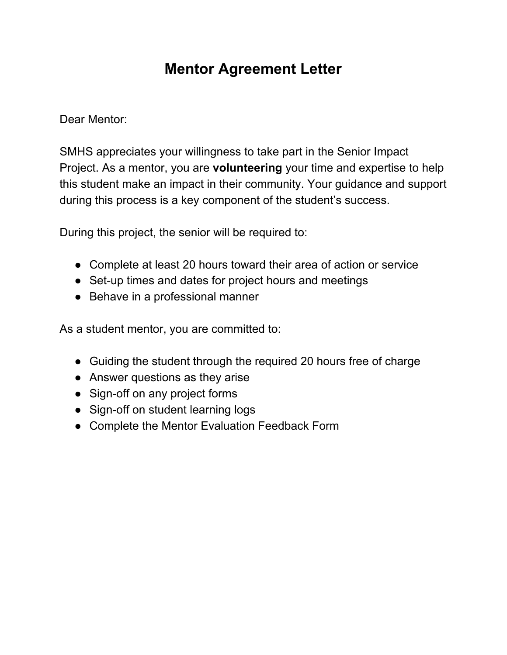### **Mentor Agreement Letter**

Dear Mentor:

SMHS appreciates your willingness to take part in the Senior Impact Project. As a mentor, you are **volunteering** your time and expertise to help this student make an impact in their community. Your guidance and support during this process is a key component of the student's success.

During this project, the senior will be required to:

- Complete at least 20 hours toward their area of action or service
- Set-up times and dates for project hours and meetings
- Behave in a professional manner

As a student mentor, you are committed to:

- Guiding the student through the required 20 hours free of charge
- Answer questions as they arise
- Sign-off on any project forms
- Sign-off on student learning logs
- Complete the Mentor Evaluation Feedback Form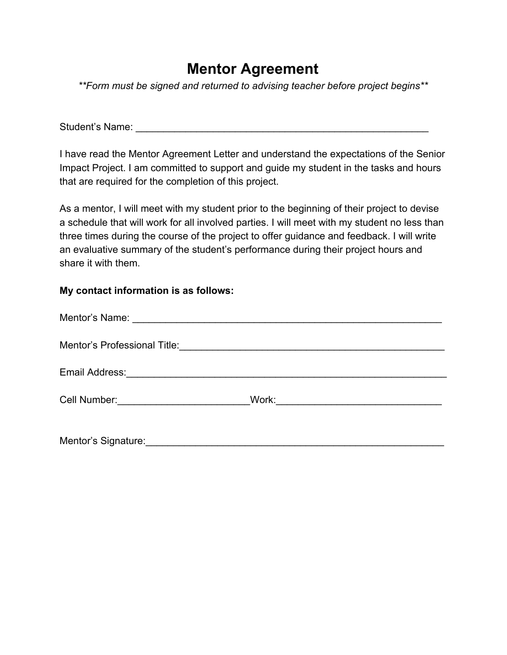### **Mentor Agreement**

*\*\*Form must be signed and returned to advising teacher before project begins\*\**

Student's Name: **Example 20** and 20 and 20 and 20 and 20 and 20 and 20 and 20 and 20 and 20 and 20 and 20 and 20 and 20 and 20 and 20 and 20 and 20 and 20 and 20 and 20 and 20 and 20 and 20 and 20 and 20 and 20 and 20 and

I have read the Mentor Agreement Letter and understand the expectations of the Senior Impact Project. I am committed to support and guide my student in the tasks and hours that are required for the completion of this project.

As a mentor, I will meet with my student prior to the beginning of their project to devise a schedule that will work for all involved parties. I will meet with my student no less than three times during the course of the project to offer guidance and feedback. I will write an evaluative summary of the student's performance during their project hours and share it with them.

#### **My contact information is as follows:**

| Cell Number: <u>Call Number</u>                           |  |
|-----------------------------------------------------------|--|
| Mentor's Signature: Management of the Mentor's Signature: |  |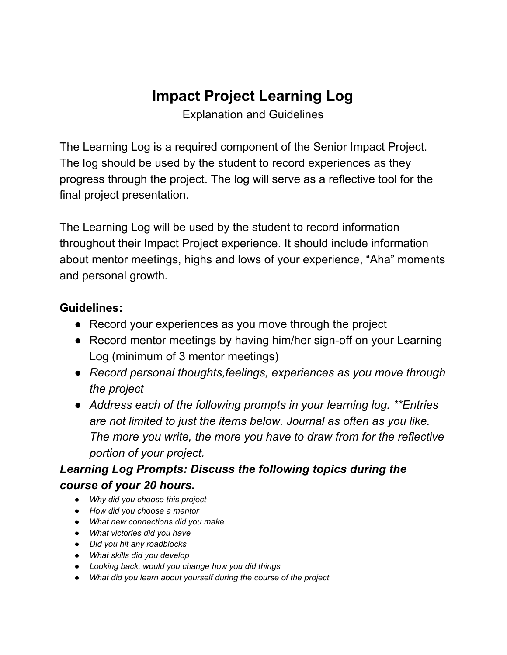## **Impact Project Learning Log**

Explanation and Guidelines

The Learning Log is a required component of the Senior Impact Project. The log should be used by the student to record experiences as they progress through the project. The log will serve as a reflective tool for the final project presentation.

The Learning Log will be used by the student to record information throughout their Impact Project experience. It should include information about mentor meetings, highs and lows of your experience, "Aha" moments and personal growth.

### **Guidelines:**

- *●* Record your experiences as you move through the project
- *●* Record mentor meetings by having him/her sign-off on your Learning Log (minimum of 3 mentor meetings)
- *● Record personal thoughts,feelings, experiences as you move through the project*
- *● Address each of the following prompts in your learning log. \*\*Entries are not limited to just the items below. Journal as often as you like. The more you write, the more you have to draw from for the reflective portion of your project.*

### *Learning Log Prompts: Discuss the following topics during the course of your 20 hours.*

- *● Why did you choose this project*
- *● How did you choose a mentor*
- *● What new connections did you make*
- *● What victories did you have*
- *● Did you hit any roadblocks*
- *● What skills did you develop*
- *● Looking back, would you change how you did things*
- *● What did you learn about yourself during the course of the project*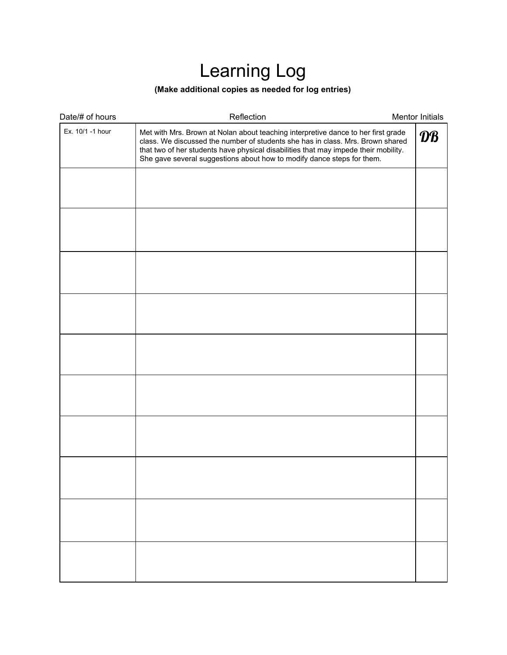# Learning Log

#### **(Make additional copies as needed for log entries)**

| Date/# of hours                                                                                                                                                                                                                                                                                                                                          | Reflection | Mentor Initials        |
|----------------------------------------------------------------------------------------------------------------------------------------------------------------------------------------------------------------------------------------------------------------------------------------------------------------------------------------------------------|------------|------------------------|
| Ex. 10/1 -1 hour<br>Met with Mrs. Brown at Nolan about teaching interpretive dance to her first grade<br>class. We discussed the number of students she has in class. Mrs. Brown shared<br>that two of her students have physical disabilities that may impede their mobility.<br>She gave several suggestions about how to modify dance steps for them. |            | $\mathbf{D}\mathbf{B}$ |
|                                                                                                                                                                                                                                                                                                                                                          |            |                        |
|                                                                                                                                                                                                                                                                                                                                                          |            |                        |
|                                                                                                                                                                                                                                                                                                                                                          |            |                        |
|                                                                                                                                                                                                                                                                                                                                                          |            |                        |
|                                                                                                                                                                                                                                                                                                                                                          |            |                        |
|                                                                                                                                                                                                                                                                                                                                                          |            |                        |
|                                                                                                                                                                                                                                                                                                                                                          |            |                        |
|                                                                                                                                                                                                                                                                                                                                                          |            |                        |
|                                                                                                                                                                                                                                                                                                                                                          |            |                        |
|                                                                                                                                                                                                                                                                                                                                                          |            |                        |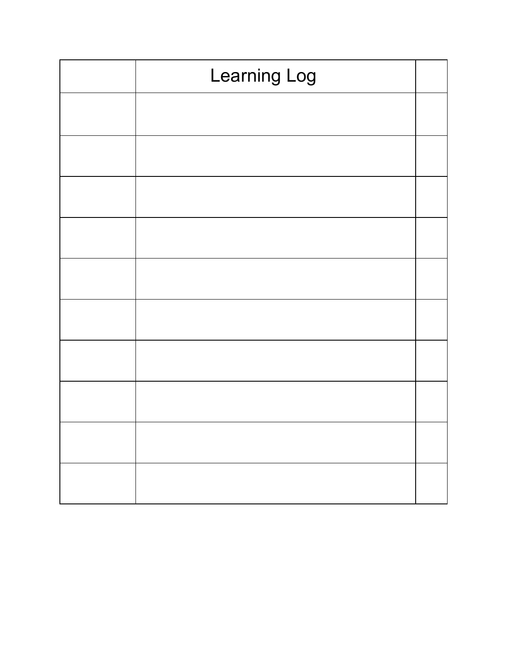| Learning Log |  |
|--------------|--|
|              |  |
|              |  |
|              |  |
|              |  |
|              |  |
|              |  |
|              |  |
|              |  |
|              |  |
|              |  |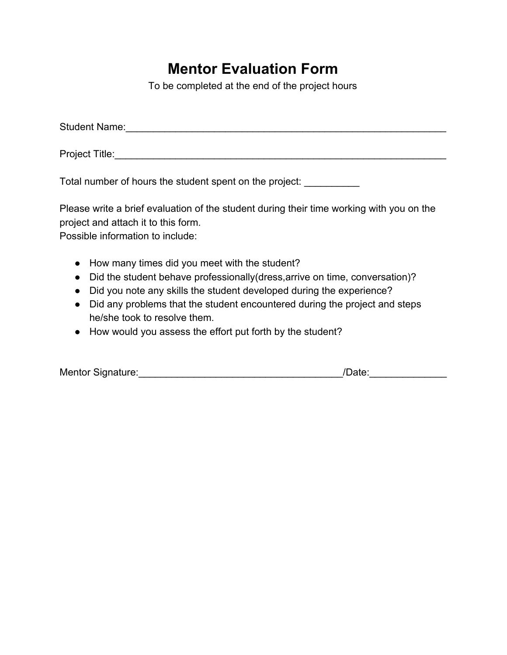### **Mentor Evaluation Form**

To be completed at the end of the project hours

| <b>Student Name:</b> |  |  |  |
|----------------------|--|--|--|
| Project Title:       |  |  |  |

Total number of hours the student spent on the project: \_\_\_\_\_\_\_\_\_\_

Please write a brief evaluation of the student during their time working with you on the project and attach it to this form.

Possible information to include:

- How many times did you meet with the student?
- Did the student behave professionally(dress, arrive on time, conversation)?
- Did you note any skills the student developed during the experience?
- Did any problems that the student encountered during the project and steps he/she took to resolve them.
- How would you assess the effort put forth by the student?

| Mentor Signature: | /Date: |  |
|-------------------|--------|--|
|                   |        |  |